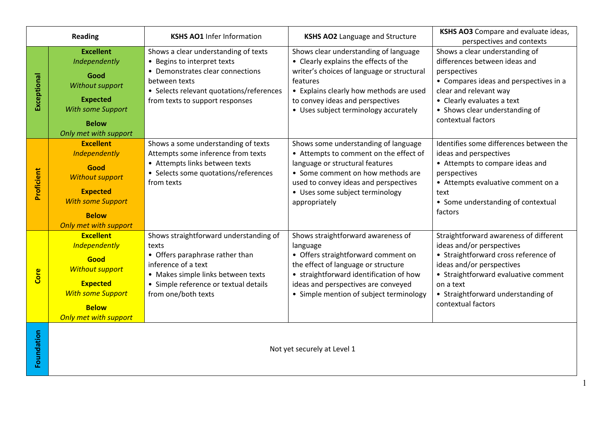| <b>Reading</b> |                                                                                                                                                                           | <b>KSHS AO1</b> Infer Information                                                                                                                                                                               | <b>KSHS AO2</b> Language and Structure                                                                                                                                                                                                                           | <b>KSHS AO3</b> Compare and evaluate ideas,<br>perspectives and contexts                                                                                                                                                                                  |
|----------------|---------------------------------------------------------------------------------------------------------------------------------------------------------------------------|-----------------------------------------------------------------------------------------------------------------------------------------------------------------------------------------------------------------|------------------------------------------------------------------------------------------------------------------------------------------------------------------------------------------------------------------------------------------------------------------|-----------------------------------------------------------------------------------------------------------------------------------------------------------------------------------------------------------------------------------------------------------|
| Exceptional    | <b>Excellent</b><br>Independently<br>Good<br>Without support<br><b>Expected</b><br>With some Support<br><b>Below</b><br>Only met with support                             | Shows a clear understanding of texts<br>• Begins to interpret texts<br>• Demonstrates clear connections<br>between texts<br>• Selects relevant quotations/references<br>from texts to support responses         | Shows clear understanding of language<br>• Clearly explains the effects of the<br>writer's choices of language or structural<br>features<br>• Explains clearly how methods are used<br>to convey ideas and perspectives<br>• Uses subject terminology accurately | Shows a clear understanding of<br>differences between ideas and<br>perspectives<br>• Compares ideas and perspectives in a<br>clear and relevant way<br>• Clearly evaluates a text<br>• Shows clear understanding of<br>contextual factors                 |
| Proficient     | <b>Excellent</b><br>Independently<br>Good<br><b>Without support</b><br><b>Expected</b><br><b>With some Support</b><br><b>Below</b><br>Only met with support               | Shows a some understanding of texts<br>Attempts some inference from texts<br>• Attempts links between texts<br>• Selects some quotations/references<br>from texts                                               | Shows some understanding of language<br>• Attempts to comment on the effect of<br>language or structural features<br>• Some comment on how methods are<br>used to convey ideas and perspectives<br>• Uses some subject terminology<br>appropriately              | Identifies some differences between the<br>ideas and perspectives<br>• Attempts to compare ideas and<br>perspectives<br>• Attempts evaluative comment on a<br>text<br>• Some understanding of contextual<br>factors                                       |
| Core           | <b>Excellent</b><br><b>Independently</b><br>Good<br><b>Without support</b><br><b>Expected</b><br><b>With some Support</b><br><b>Below</b><br><b>Only met with support</b> | Shows straightforward understanding of<br>texts<br>• Offers paraphrase rather than<br>inference of a text<br>• Makes simple links between texts<br>• Simple reference or textual details<br>from one/both texts | Shows straightforward awareness of<br>language<br>• Offers straightforward comment on<br>the effect of language or structure<br>• straightforward identification of how<br>ideas and perspectives are conveyed<br>• Simple mention of subject terminology        | Straightforward awareness of different<br>ideas and/or perspectives<br>• Straightforward cross reference of<br>ideas and/or perspectives<br>• Straightforward evaluative comment<br>on a text<br>• Straightforward understanding of<br>contextual factors |
| Foundation     |                                                                                                                                                                           |                                                                                                                                                                                                                 | Not yet securely at Level 1                                                                                                                                                                                                                                      |                                                                                                                                                                                                                                                           |